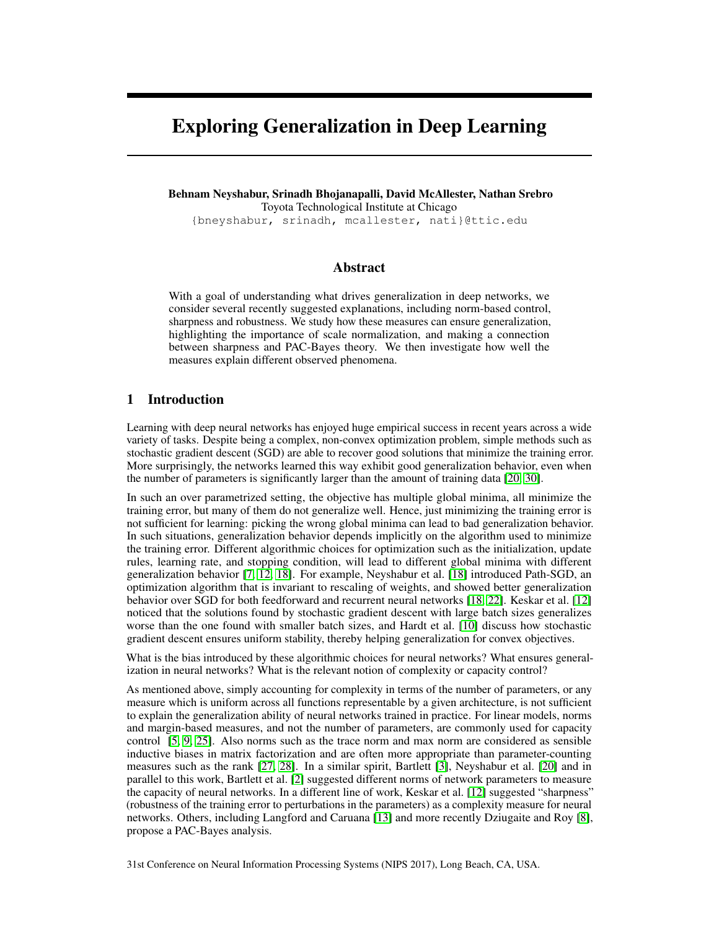# Exploring Generalization in Deep Learning

Behnam Neyshabur, Srinadh Bhojanapalli, David McAllester, Nathan Srebro

Toyota Technological Institute at Chicago

{bneyshabur, srinadh, mcallester, nati}@ttic.edu

## Abstract

With a goal of understanding what drives generalization in deep networks, we consider several recently suggested explanations, including norm-based control, sharpness and robustness. We study how these measures can ensure generalization, highlighting the importance of scale normalization, and making a connection between sharpness and PAC-Bayes theory. We then investigate how well the measures explain different observed phenomena.

# 1 Introduction

Learning with deep neural networks has enjoyed huge empirical success in recent years across a wide variety of tasks. Despite being a complex, non-convex optimization problem, simple methods such as stochastic gradient descent (SGD) are able to recover good solutions that minimize the training error. More surprisingly, the networks learned this way exhibit good generalization behavior, even when the number of parameters is significantly larger than the amount of training data [20, 30].

In such an over parametrized setting, the objective has multiple global minima, all minimize the training error, but many of them do not generalize well. Hence, just minimizing the training error is not sufficient for learning: picking the wrong global minima can lead to bad generalization behavior. In such situations, generalization behavior depends implicitly on the algorithm used to minimize the training error. Different algorithmic choices for optimization such as the initialization, update rules, learning rate, and stopping condition, will lead to different global minima with different generalization behavior [7, 12, 18]. For example, Neyshabur et al. [18] introduced Path-SGD, an optimization algorithm that is invariant to rescaling of weights, and showed better generalization behavior over SGD for both feedforward and recurrent neural networks [18, 22]. Keskar et al. [12] noticed that the solutions found by stochastic gradient descent with large batch sizes generalizes worse than the one found with smaller batch sizes, and Hardt et al. [10] discuss how stochastic gradient descent ensures uniform stability, thereby helping generalization for convex objectives.

What is the bias introduced by these algorithmic choices for neural networks? What ensures generalization in neural networks? What is the relevant notion of complexity or capacity control?

As mentioned above, simply accounting for complexity in terms of the number of parameters, or any measure which is uniform across all functions representable by a given architecture, is not sufficient to explain the generalization ability of neural networks trained in practice. For linear models, norms and margin-based measures, and not the number of parameters, are commonly used for capacity control [5, 9, 25]. Also norms such as the trace norm and max norm are considered as sensible inductive biases in matrix factorization and are often more appropriate than parameter-counting measures such as the rank [27, 28]. In a similar spirit, Bartlett [3], Neyshabur et al. [20] and in parallel to this work, Bartlett et al. [2] suggested different norms of network parameters to measure the capacity of neural networks. In a different line of work, Keskar et al. [12] suggested "sharpness" (robustness of the training error to perturbations in the parameters) as a complexity measure for neural networks. Others, including Langford and Caruana [13] and more recently Dziugaite and Roy [8], propose a PAC-Bayes analysis.

31st Conference on Neural Information Processing Systems (NIPS 2017), Long Beach, CA, USA.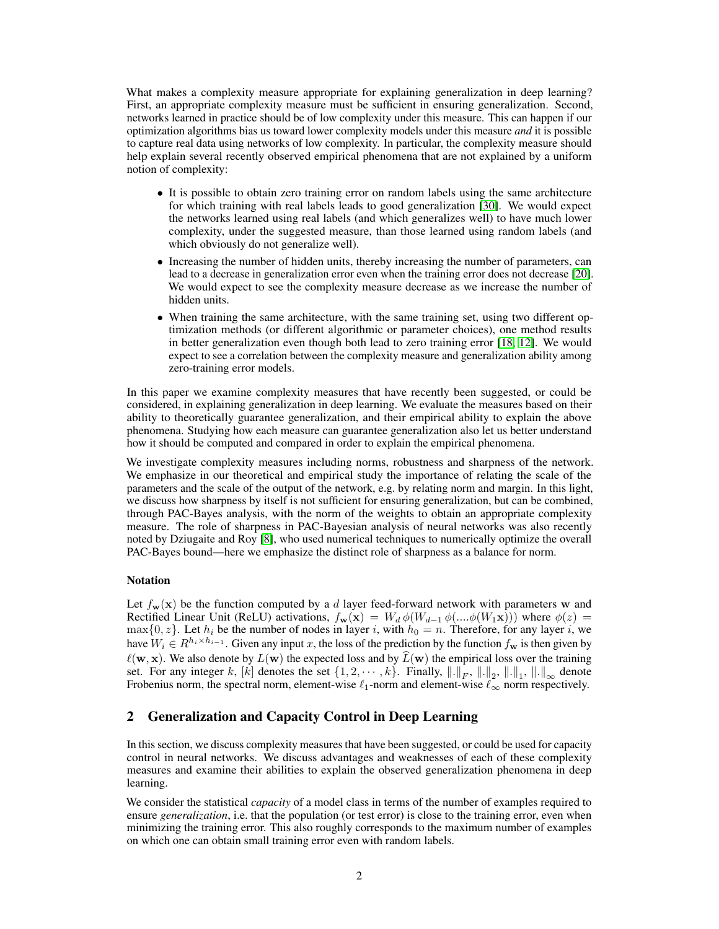What makes a complexity measure appropriate for explaining generalization in deep learning? First, an appropriate complexity measure must be sufficient in ensuring generalization. Second, networks learned in practice should be of low complexity under this measure. This can happen if our optimization algorithms bias us toward lower complexity models under this measure *and* it is possible to capture real data using networks of low complexity. In particular, the complexity measure should help explain several recently observed empirical phenomena that are not explained by a uniform notion of complexity:

- It is possible to obtain zero training error on random labels using the same architecture for which training with real labels leads to good generalization [30]. We would expect the networks learned using real labels (and which generalizes well) to have much lower complexity, under the suggested measure, than those learned using random labels (and which obviously do not generalize well).
- Increasing the number of hidden units, thereby increasing the number of parameters, can lead to a decrease in generalization error even when the training error does not decrease [20]. We would expect to see the complexity measure decrease as we increase the number of hidden units.
- When training the same architecture, with the same training set, using two different optimization methods (or different algorithmic or parameter choices), one method results in better generalization even though both lead to zero training error [18, 12]. We would expect to see a correlation between the complexity measure and generalization ability among zero-training error models.

In this paper we examine complexity measures that have recently been suggested, or could be considered, in explaining generalization in deep learning. We evaluate the measures based on their ability to theoretically guarantee generalization, and their empirical ability to explain the above phenomena. Studying how each measure can guarantee generalization also let us better understand how it should be computed and compared in order to explain the empirical phenomena.

We investigate complexity measures including norms, robustness and sharpness of the network. We emphasize in our theoretical and empirical study the importance of relating the scale of the parameters and the scale of the output of the network, e.g. by relating norm and margin. In this light, we discuss how sharpness by itself is not sufficient for ensuring generalization, but can be combined, through PAC-Bayes analysis, with the norm of the weights to obtain an appropriate complexity measure. The role of sharpness in PAC-Bayesian analysis of neural networks was also recently noted by Dziugaite and Roy [8], who used numerical techniques to numerically optimize the overall PAC-Bayes bound—here we emphasize the distinct role of sharpness as a balance for norm.

## Notation

Let  $f_{\mathbf{w}}(\mathbf{x})$  be the function computed by a d layer feed-forward network with parameters w and Rectified Linear Unit (ReLU) activations,  $f_{\mathbf{w}}(\mathbf{x}) = W_d \phi(W_{d-1} \phi(... \phi(W_1 \mathbf{x})))$  where  $\phi(z) =$  $\max\{0, z\}$ . Let  $h_i$  be the number of nodes in layer i, with  $h_0 = n$ . Therefore, for any layer i, we have  $W_i \in R^{h_i \times h_{i-1}}$ . Given any input x, the loss of the prediction by the function  $f_w$  is then given by  $\ell(\mathbf{w}, \mathbf{x})$ . We also denote by  $L(\mathbf{w})$  the expected loss and by  $\widehat{L}(\mathbf{w})$  the empirical loss over the training set. For any integer k, [k] denotes the set  $\{1, 2, \dots, k\}$ . Finally,  $\|\cdot\|_F$ ,  $\|\cdot\|_2$ ,  $\|\cdot\|_1$ ,  $\|\cdot\|_{\infty}$  denote Frobenius norm, the spectral norm, element-wise  $\ell_1$ -norm and element-wise  $\ell_{\infty}$  norm respectively.

# 2 Generalization and Capacity Control in Deep Learning

In this section, we discuss complexity measures that have been suggested, or could be used for capacity control in neural networks. We discuss advantages and weaknesses of each of these complexity measures and examine their abilities to explain the observed generalization phenomena in deep learning.

We consider the statistical *capacity* of a model class in terms of the number of examples required to ensure *generalization*, i.e. that the population (or test error) is close to the training error, even when minimizing the training error. This also roughly corresponds to the maximum number of examples on which one can obtain small training error even with random labels.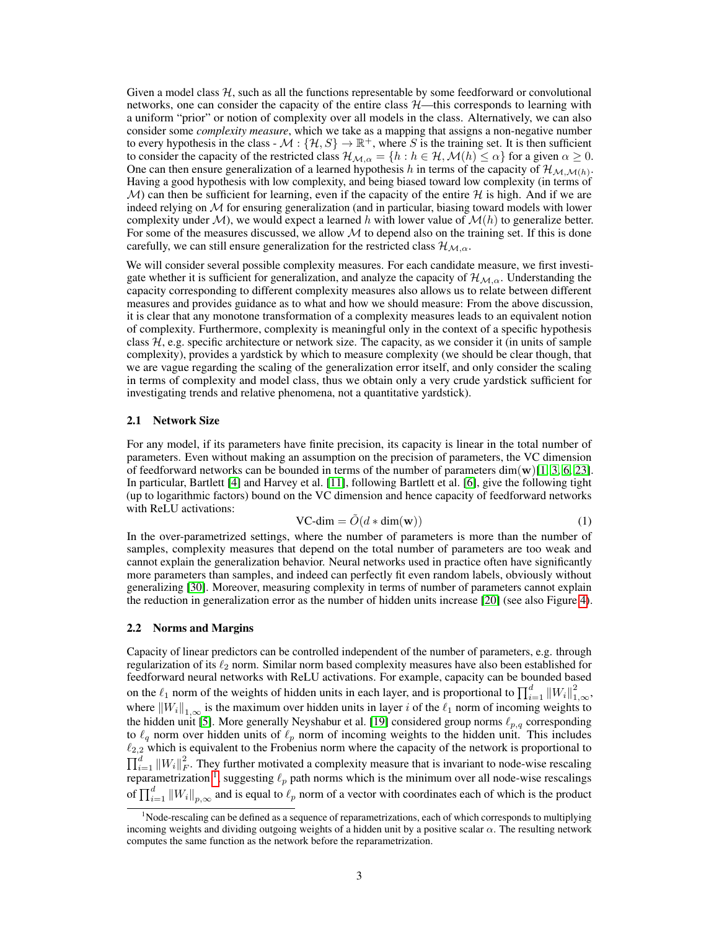Given a model class  $H$ , such as all the functions representable by some feedforward or convolutional networks, one can consider the capacity of the entire class  $H$ —this corresponds to learning with a uniform "prior" or notion of complexity over all models in the class. Alternatively, we can also consider some *complexity measure*, which we take as a mapping that assigns a non-negative number to every hypothesis in the class -  $\mathcal{M}: \{ \mathcal{H}, S \} \to \mathbb{R}^+$ , where S is the training set. It is then sufficient to consider the capacity of the restricted class  $\mathcal{H}_{\mathcal{M},\alpha} = \{h : h \in \mathcal{H}, \mathcal{M}(h) \leq \alpha\}$  for a given  $\alpha \geq 0$ . One can then ensure generalization of a learned hypothesis h in terms of the capacity of  $\mathcal{H}_{\mathcal{M},\mathcal{M}(h)}$ . Having a good hypothesis with low complexity, and being biased toward low complexity (in terms of  $\mathcal{M}$ ) can then be sufficient for learning, even if the capacity of the entire  $\mathcal{H}$  is high. And if we are indeed relying on  $M$  for ensuring generalization (and in particular, biasing toward models with lower complexity under  $M$ ), we would expect a learned h with lower value of  $M(h)$  to generalize better. For some of the measures discussed, we allow  $M$  to depend also on the training set. If this is done carefully, we can still ensure generalization for the restricted class  $\mathcal{H}_{M,\alpha}$ .

We will consider several possible complexity measures. For each candidate measure, we first investigate whether it is sufficient for generalization, and analyze the capacity of  $\mathcal{H}_{M,\alpha}$ . Understanding the capacity corresponding to different complexity measures also allows us to relate between different measures and provides guidance as to what and how we should measure: From the above discussion, it is clear that any monotone transformation of a complexity measures leads to an equivalent notion of complexity. Furthermore, complexity is meaningful only in the context of a specific hypothesis class  $H$ , e.g. specific architecture or network size. The capacity, as we consider it (in units of sample complexity), provides a yardstick by which to measure complexity (we should be clear though, that we are vague regarding the scaling of the generalization error itself, and only consider the scaling in terms of complexity and model class, thus we obtain only a very crude yardstick sufficient for investigating trends and relative phenomena, not a quantitative yardstick).

#### 2.1 Network Size

For any model, if its parameters have finite precision, its capacity is linear in the total number of parameters. Even without making an assumption on the precision of parameters, the VC dimension of feedforward networks can be bounded in terms of the number of parameters dim(w)[1, 3, 6, 23]. In particular, Bartlett [4] and Harvey et al. [11], following Bartlett et al. [6], give the following tight (up to logarithmic factors) bound on the VC dimension and hence capacity of feedforward networks with ReLU activations:

$$
VC\text{-dim} = \tilde{O}(d * \text{dim}(\mathbf{w}))\tag{1}
$$

In the over-parametrized settings, where the number of parameters is more than the number of  $\frac{1}{2}$ samples, complexity measures that depend on the total number of parameters are too weak and cannot explain the generalization behavior. Neural networks used in practice often have significantly more parameters than samples, and indeed can perfectly fit even random labels, obviously without generalizing [30]. Moreover, measuring complexity in terms of number of parameters cannot explain the reduction in generalization error as the number of hidden units increase [20] (see also Figure 4).

#### 2.2 Norms and Margins

Capacity of linear predictors can be controlled independent of the number of parameters, e.g. through regularization of its  $\ell_2$  norm. Similar norm based complexity measures have also been established for feedforward neural networks with ReLU activations. For example, capacity can be bounded based on the  $\ell_1$  norm of the weights of hidden units in each layer, and is proportional to  $\prod_{i=1}^d \|W_i\|_{1,\infty}^2$ , where  $\|W_i\|_{1,\infty}$  is the maximum over hidden units in layer i of the  $\ell_1$  norm of incoming weights to the hidden unit [5]. More generally Neyshabur et al. [19] considered group norms  $\ell_{p,q}$  corresponding to  $\ell_q$  norm over hidden units of  $\ell_p$  norm of incoming weights to the hidden unit. This includes  $\ell_{2,2}$  which is equivalent to the Frobenius norm where the capacity of the network is proportional to  $\prod_{i=1}^d \|W_i\|_F^2$ . They further motivated a complexity measure that is invariant to node-wise rescaling reparametrization <sup>1</sup>, suggesting  $\ell_p$  path norms which is the minimum over all node-wise rescalings of  $\prod_{i=1}^d \|W_i\|_{p,\infty}$  and is equal to  $\ell_p$  norm of a vector with coordinates each of which is the product

<sup>&</sup>lt;sup>1</sup>Node-rescaling can be defined as a sequence of reparametrizations, each of which corresponds to multiplying incoming weights and dividing outgoing weights of a hidden unit by a positive scalar  $\alpha$ . The resulting network computes the same function as the network before the reparametrization.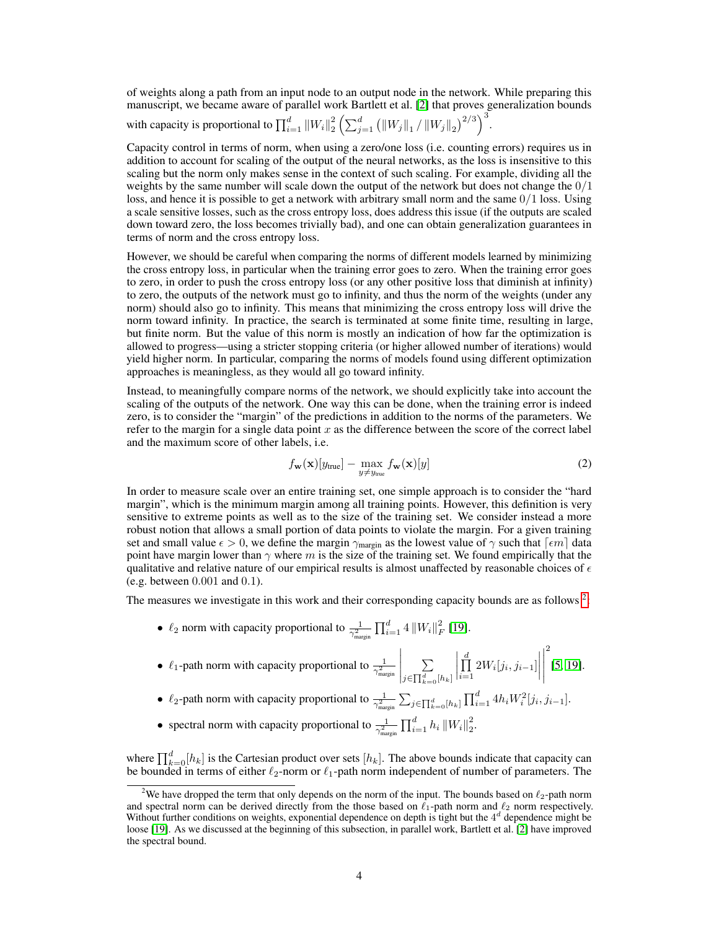of weights along a path from an input node to an output node in the network. While preparing this manuscript, we became aware of parallel work Bartlett et al. [2] that proves generalization bounds with capacity is proportional to  $\prod_{i=1}^d \|W_i\|_2^2 \left(\sum_{j=1}^d \left(\|W_j\|_1 / \|W_j\|_2\right)^{2/3}\right)^3$ .

Capacity control in terms of norm, when using a zero/one loss (i.e. counting errors) requires us in addition to account for scaling of the output of the neural networks, as the loss is insensitive to this scaling but the norm only makes sense in the context of such scaling. For example, dividing all the weights by the same number will scale down the output of the network but does not change the  $0/1$ loss, and hence it is possible to get a network with arbitrary small norm and the same  $0/1$  loss. Using a scale sensitive losses, such as the cross entropy loss, does address this issue (if the outputs are scaled down toward zero, the loss becomes trivially bad), and one can obtain generalization guarantees in terms of norm and the cross entropy loss.

However, we should be careful when comparing the norms of different models learned by minimizing the cross entropy loss, in particular when the training error goes to zero. When the training error goes to zero, in order to push the cross entropy loss (or any other positive loss that diminish at infinity) to zero, the outputs of the network must go to infinity, and thus the norm of the weights (under any norm) should also go to infinity. This means that minimizing the cross entropy loss will drive the norm toward infinity. In practice, the search is terminated at some finite time, resulting in large, but finite norm. But the value of this norm is mostly an indication of how far the optimization is allowed to progress—using a stricter stopping criteria (or higher allowed number of iterations) would yield higher norm. In particular, comparing the norms of models found using different optimization approaches is meaningless, as they would all go toward infinity.

Instead, to meaningfully compare norms of the network, we should explicitly take into account the scaling of the outputs of the network. One way this can be done, when the training error is indeed zero, is to consider the "margin" of the predictions in addition to the norms of the parameters. We refer to the margin for a single data point x as the difference between the score of the correct label and the maximum score of other labels, i.e.

$$
f_{\mathbf{w}}(\mathbf{x})[y_{\text{true}}] - \max_{y \neq y_{\text{true}}} f_{\mathbf{w}}(\mathbf{x})[y]
$$
 (2)

In order to measure scale over an entire training set, one simple approach is to consider the "hard margin", which is the minimum margin among all training points. However, this definition is very sensitive to extreme points as well as to the size of the training set. We consider instead a more robust notion that allows a small portion of data points to violate the margin. For a given training set and small value  $\epsilon > 0$ , we define the margin  $\gamma_{\text{margin}}$  as the lowest value of  $\gamma$  such that  $\lceil \epsilon m \rceil$  data point have margin lower than  $\gamma$  where m is the size of the training set. We found empirically that the qualitative and relative nature of our empirical results is almost unaffected by reasonable choices of  $\epsilon$ (e.g. between 0.001 and 0.1).

The measures we investigate in this work and their corresponding capacity bounds are as follows  $2$ :

- $\ell_2$  norm with capacity proportional to  $\frac{1}{\gamma_{\text{margin}}^2} \prod_{i=1}^d 4 ||W_i||_F^2$  [19].
- $\ell_1$ -path norm with capacity proportional to  $\frac{1}{\gamma_{\text{margin}}^2}$  $\begin{array}{c} \hline \end{array}$ P  $j \in \prod_{k=0}^{d} [h_k]$   $\prod$  $\prod_{i=1}^{d} 2W_i[j_i,j_{i-1}]$  $\begin{array}{c} \hline \end{array}$ 2 [5, 19].
- $\ell_2$ -path norm with capacity proportional to  $\frac{1}{\gamma_{\text{margin}}^2} \sum_{j \in \prod_{k=0}^d [h_k]} \prod_{i=1}^d 4h_i W_i^2[j_i, j_{i-1}]$ .
- spectral norm with capacity proportional to  $\frac{1}{\gamma_{\text{margin}}^2} \prod_{i=1}^d h_i ||W_i||_2^2$ .

where  $\prod_{k=0}^{d} [h_k]$  is the Cartesian product over sets  $[h_k]$ . The above bounds indicate that capacity can be bounded in terms of either  $\ell_2$ -norm or  $\ell_1$ -path norm independent of number of parameters. The

<sup>&</sup>lt;sup>2</sup>We have dropped the term that only depends on the norm of the input. The bounds based on  $\ell_2$ -path norm and spectral norm can be derived directly from the those based on  $\ell_1$ -path norm and  $\ell_2$  norm respectively. Without further conditions on weights, exponential dependence on depth is tight but the  $4<sup>d</sup>$  dependence might be loose [19]. As we discussed at the beginning of this subsection, in parallel work, Bartlett et al. [2] have improved the spectral bound.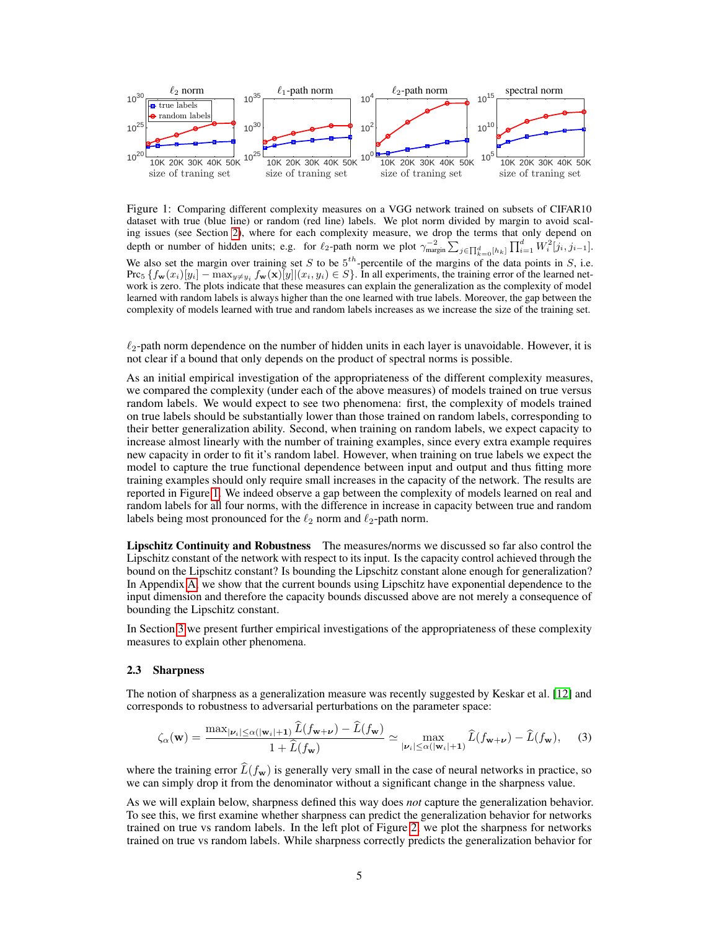

Figure 1: Comparing different complexity measures on a VGG network trained on subsets of CIFAR10 dataset with true (blue line) or random (red line) labels. We plot norm divided by margin to avoid scaling issues (see Section 2), where for each complexity measure, we drop the terms that only depend on depth or number of hidden units; e.g. for  $\ell_2$ -path norm we plot  $\gamma_{\text{margin}}^{-2} \sum_{j \in \prod_{k=0}^d [h_k]} \prod_{i=1}^d W_i^2[j_i, j_{i-1}].$ We also set the margin over training set S to be  $5<sup>th</sup>$ -percentile of the margins of the data points in S, i.e. Prc<sub>5</sub>  $\{f_{\mathbf{w}}(x_i)[y_i] - \max_{y \neq y_i} f_{\mathbf{w}}(\mathbf{x})[y]](x_i, y_i) \in S\}$ . In all experiments, the training error of the learned network is zero. The plots indicate that these measures can explain the generalization as the complexity of model learned with random labels is always higher than the one learned with true labels. Moreover, the gap between the complexity of models learned with true and random labels increases as we increase the size of the training set.

 $\ell_2$ -path norm dependence on the number of hidden units in each layer is unavoidable. However, it is not clear if a bound that only depends on the product of spectral norms is possible.

As an initial empirical investigation of the appropriateness of the different complexity measures, we compared the complexity (under each of the above measures) of models trained on true versus random labels. We would expect to see two phenomena: first, the complexity of models trained on true labels should be substantially lower than those trained on random labels, corresponding to their better generalization ability. Second, when training on random labels, we expect capacity to increase almost linearly with the number of training examples, since every extra example requires new capacity in order to fit it's random label. However, when training on true labels we expect the model to capture the true functional dependence between input and output and thus fitting more training examples should only require small increases in the capacity of the network. The results are reported in Figure 1. We indeed observe a gap between the complexity of models learned on real and random labels for all four norms, with the difference in increase in capacity between true and random labels being most pronounced for the  $\ell_2$  norm and  $\ell_2$ -path norm.

Lipschitz Continuity and Robustness The measures/norms we discussed so far also control the Lipschitz constant of the network with respect to its input. Is the capacity control achieved through the bound on the Lipschitz constant? Is bounding the Lipschitz constant alone enough for generalization? In Appendix A, we show that the current bounds using Lipschitz have exponential dependence to the input dimension and therefore the capacity bounds discussed above are not merely a consequence of bounding the Lipschitz constant.

In Section 3 we present further empirical investigations of the appropriateness of these complexity measures to explain other phenomena.

#### 2.3 Sharpness

The notion of sharpness as a generalization measure was recently suggested by Keskar et al. [12] and corresponds to robustness to adversarial perturbations on the parameter space:

$$
\zeta_{\alpha}(\mathbf{w}) = \frac{\max_{|\nu_i| \le \alpha(|\mathbf{w}_i|+1)} \tilde{L}(f_{\mathbf{w}+\nu}) - \tilde{L}(f_{\mathbf{w}})}{1 + \hat{L}(f_{\mathbf{w}})} \simeq \max_{|\nu_i| \le \alpha(|\mathbf{w}_i|+1)} \hat{L}(f_{\mathbf{w}+\nu}) - \hat{L}(f_{\mathbf{w}}), \tag{3}
$$

where the training error  $\hat{L}(f_{\bf w})$  is generally very small in the case of neural networks in practice, so we can simply drop it from the denominator without a significant change in the sharpness value.

As we will explain below, sharpness defined this way does *not* capture the generalization behavior. To see this, we first examine whether sharpness can predict the generalization behavior for networks trained on true vs random labels. In the left plot of Figure 2, we plot the sharpness for networks trained on true vs random labels. While sharpness correctly predicts the generalization behavior for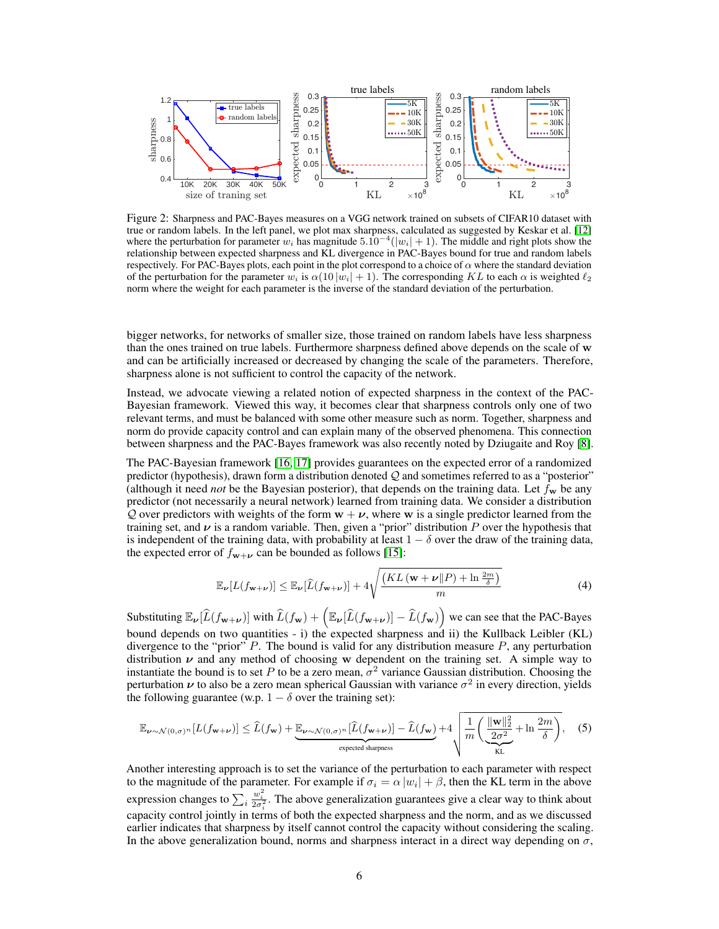

Figure 2: Sharpness and PAC-Bayes measures on a VGG network trained on subsets of CIFAR10 dataset with true or random labels. In the left panel, we plot max sharpness, calculated as suggested by Keskar et al. [12] where the perturbation for parameter  $w_i$  has magnitude  $5.\overline{10}^{-4}(|w_i|+1)$ . The middle and right plots show the relationship between expected sharpness and KL divergence in PAC-Bayes bound for true and random labels respectively. For PAC-Bayes plots, each point in the plot correspond to a choice of  $\alpha$  where the standard deviation of the perturbation for the parameter  $w_i$  is  $\alpha(10 |w_i| + 1)$ . The corresponding KL to each  $\alpha$  is weighted  $\ell_2$ norm where the weight for each parameter is the inverse of the standard deviation of the perturbation.

bigger networks, for networks of smaller size, those trained on random labels have less sharpness than the ones trained on true labels. Furthermore sharpness defined above depends on the scale of w and can be artificially increased or decreased by changing the scale of the parameters. Therefore, sharpness alone is not sufficient to control the capacity of the network.

Instead, we advocate viewing a related notion of expected sharpness in the context of the PAC-Bayesian framework. Viewed this way, it becomes clear that sharpness controls only one of two relevant terms, and must be balanced with some other measure such as norm. Together, sharpness and norm do provide capacity control and can explain many of the observed phenomena. This connection between sharpness and the PAC-Bayes framework was also recently noted by Dziugaite and Roy [8].

The PAC-Bayesian framework [16, 17] provides guarantees on the expected error of a randomized predictor (hypothesis), drawn form a distribution denoted  $Q$  and sometimes referred to as a "posterior" (although it need *not* be the Bayesian posterior), that depends on the training data. Let  $f_w$  be any predictor (not necessarily a neural network) learned from training data. We consider a distribution Q over predictors with weights of the form  $w + \nu$ , where w is a single predictor learned from the training set, and  $\nu$  is a random variable. Then, given a "prior" distribution P over the hypothesis that is independent of the training data, with probability at least  $1 - \delta$  over the draw of the training data, the expected error of  $f_{w+\nu}$  can be bounded as follows [15]:

$$
\mathbb{E}_{\nu}[L(f_{\mathbf{w}+\nu})] \leq \mathbb{E}_{\nu}[\widehat{L}(f_{\mathbf{w}+\nu})] + 4\sqrt{\frac{(KL(\mathbf{w}+\nu||P)+\ln\frac{2m}{\delta})}{m}} \tag{4}
$$

Substituting  $\mathbb{E}_{\nu}[\widehat{L}(f_{\mathbf{w}+\nu})]$  with  $\widehat{L}(f_{\mathbf{w}}) + \left(\mathbb{E}_{\nu}[\widehat{L}(f_{\mathbf{w}+\nu})] - \widehat{L}(f_{\mathbf{w}})\right)$  we can see that the PAC-Bayes bound depends on two quantities - i) the expected sharpness and ii) the Kullback Leibler (KL) divergence to the "prior" P. The bound is valid for any distribution measure  $P$ , any perturbation distribution  $\nu$  and any method of choosing w dependent on the training set. A simple way to instantiate the bound is to set P to be a zero mean,  $\sigma^2$  variance Gaussian distribution. Choosing the perturbation  $\nu$  to also be a zero mean spherical Gaussian with variance  $\sigma^2$  in every direction, yields the following guarantee (w.p.  $1 - \delta$  over the training set):

$$
\mathbb{E}_{\nu \sim \mathcal{N}(0,\sigma)^n}[L(f_{\mathbf{w}+\nu})] \leq \widehat{L}(f_{\mathbf{w}}) + \underbrace{\mathbb{E}_{\nu \sim \mathcal{N}(0,\sigma)^n}[\widehat{L}(f_{\mathbf{w}+\nu})] - \widehat{L}(f_{\mathbf{w}})}_{\text{expected sharpness}} + 4\sqrt{\frac{1}{m}\bigg(\frac{\|\mathbf{w}\|_2^2}{2\sigma^2} + \ln\frac{2m}{\delta}\bigg)},\quad(5)
$$

Another interesting approach is to set the variance of the perturbation to each parameter with respect to the magnitude of the parameter. For example if  $\sigma_i = \alpha |w_i| + \beta$ , then the KL term in the above expression changes to  $\sum_i$  $\frac{w_i^2}{2\sigma_i^2}$ . The above generalization guarantees give a clear way to think about capacity control jointly in terms of both the expected sharpness and the norm, and as we discussed earlier indicates that sharpness by itself cannot control the capacity without considering the scaling. In the above generalization bound, norms and sharpness interact in a direct way depending on  $\sigma$ ,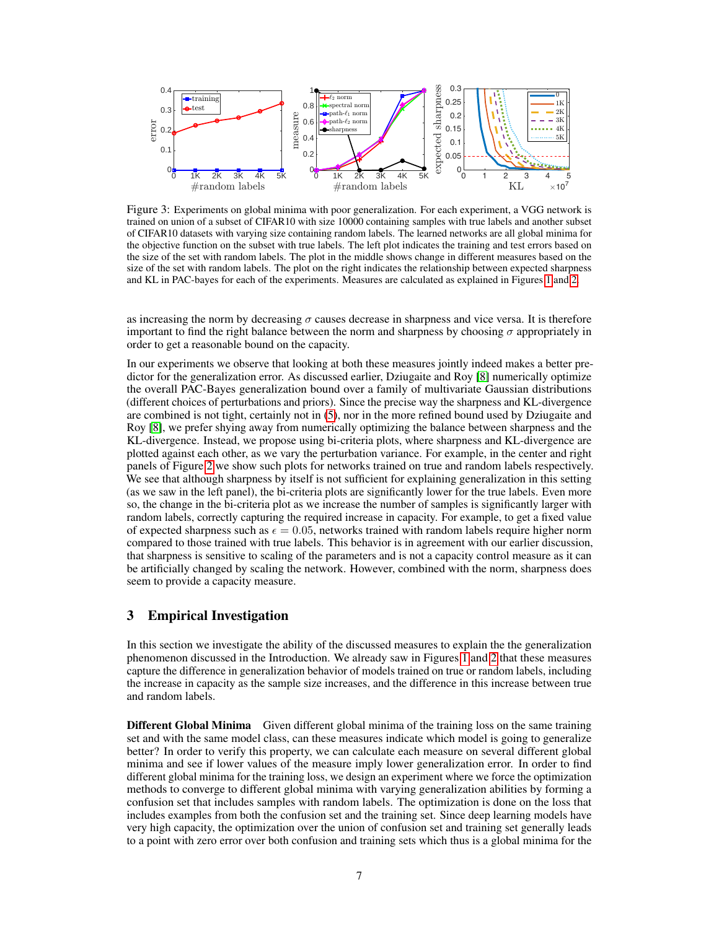

Figure 3: Experiments on global minima with poor generalization. For each experiment, a VGG network is trained on union of a subset of CIFAR10 with size 10000 containing samples with true labels and another subset of CIFAR10 datasets with varying size containing random labels. The learned networks are all global minima for the objective function on the subset with true labels. The left plot indicates the training and test errors based on the size of the set with random labels. The plot in the middle shows change in different measures based on the size of the set with random labels. The plot on the right indicates the relationship between expected sharpness and KL in PAC-bayes for each of the experiments. Measures are calculated as explained in Figures 1 and 2.

as increasing the norm by decreasing  $\sigma$  causes decrease in sharpness and vice versa. It is therefore important to find the right balance between the norm and sharpness by choosing  $\sigma$  appropriately in order to get a reasonable bound on the capacity.

In our experiments we observe that looking at both these measures jointly indeed makes a better predictor for the generalization error. As discussed earlier, Dziugaite and Roy [8] numerically optimize the overall PAC-Bayes generalization bound over a family of multivariate Gaussian distributions (different choices of perturbations and priors). Since the precise way the sharpness and KL-divergence are combined is not tight, certainly not in (5), nor in the more refined bound used by Dziugaite and Roy [8], we prefer shying away from numerically optimizing the balance between sharpness and the KL-divergence. Instead, we propose using bi-criteria plots, where sharpness and KL-divergence are plotted against each other, as we vary the perturbation variance. For example, in the center and right panels of Figure 2 we show such plots for networks trained on true and random labels respectively. We see that although sharpness by itself is not sufficient for explaining generalization in this setting (as we saw in the left panel), the bi-criteria plots are significantly lower for the true labels. Even more so, the change in the bi-criteria plot as we increase the number of samples is significantly larger with random labels, correctly capturing the required increase in capacity. For example, to get a fixed value of expected sharpness such as  $\epsilon = 0.05$ , networks trained with random labels require higher norm compared to those trained with true labels. This behavior is in agreement with our earlier discussion, that sharpness is sensitive to scaling of the parameters and is not a capacity control measure as it can be artificially changed by scaling the network. However, combined with the norm, sharpness does seem to provide a capacity measure.

# 3 Empirical Investigation

In this section we investigate the ability of the discussed measures to explain the the generalization phenomenon discussed in the Introduction. We already saw in Figures 1 and 2 that these measures capture the difference in generalization behavior of models trained on true or random labels, including the increase in capacity as the sample size increases, and the difference in this increase between true and random labels.

**Different Global Minima** Given different global minima of the training loss on the same training set and with the same model class, can these measures indicate which model is going to generalize better? In order to verify this property, we can calculate each measure on several different global minima and see if lower values of the measure imply lower generalization error. In order to find different global minima for the training loss, we design an experiment where we force the optimization methods to converge to different global minima with varying generalization abilities by forming a confusion set that includes samples with random labels. The optimization is done on the loss that includes examples from both the confusion set and the training set. Since deep learning models have very high capacity, the optimization over the union of confusion set and training set generally leads to a point with zero error over both confusion and training sets which thus is a global minima for the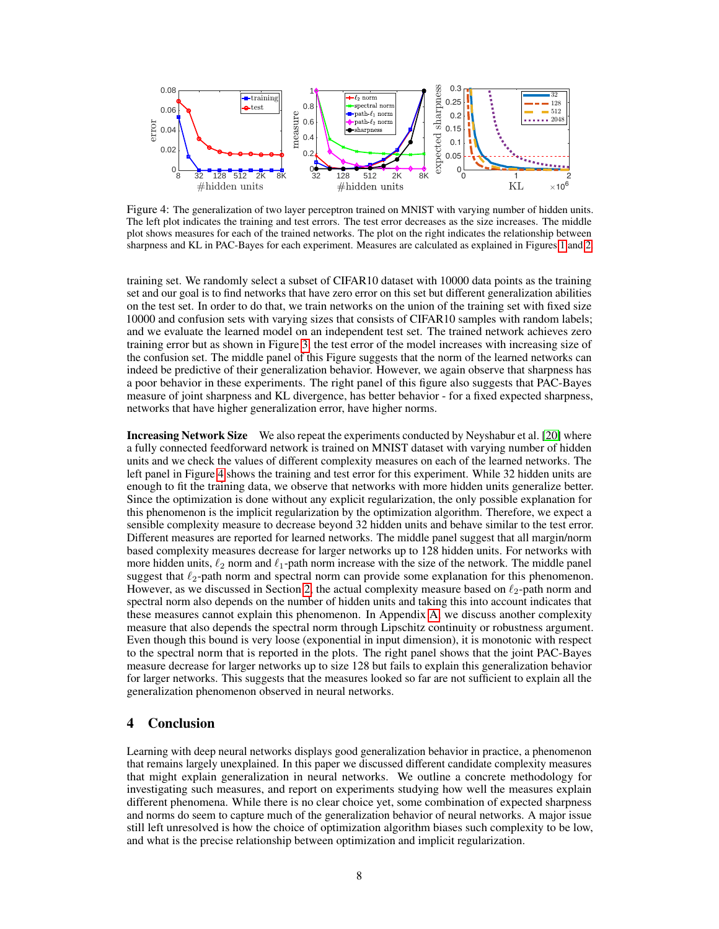

Figure 4: The generalization of two layer perceptron trained on MNIST with varying number of hidden units. The left plot indicates the training and test errors. The test error decreases as the size increases. The middle plot shows measures for each of the trained networks. The plot on the right indicates the relationship between sharpness and KL in PAC-Bayes for each experiment. Measures are calculated as explained in Figures 1 and 2.

training set. We randomly select a subset of CIFAR10 dataset with 10000 data points as the training set and our goal is to find networks that have zero error on this set but different generalization abilities on the test set. In order to do that, we train networks on the union of the training set with fixed size 10000 and confusion sets with varying sizes that consists of CIFAR10 samples with random labels; and we evaluate the learned model on an independent test set. The trained network achieves zero training error but as shown in Figure 3, the test error of the model increases with increasing size of the confusion set. The middle panel of this Figure suggests that the norm of the learned networks can indeed be predictive of their generalization behavior. However, we again observe that sharpness has a poor behavior in these experiments. The right panel of this figure also suggests that PAC-Bayes measure of joint sharpness and KL divergence, has better behavior - for a fixed expected sharpness, networks that have higher generalization error, have higher norms.

**Increasing Network Size** We also repeat the experiments conducted by Neyshabur et al. [20] where a fully connected feedforward network is trained on MNIST dataset with varying number of hidden units and we check the values of different complexity measures on each of the learned networks. The left panel in Figure 4 shows the training and test error for this experiment. While 32 hidden units are enough to fit the training data, we observe that networks with more hidden units generalize better. Since the optimization is done without any explicit regularization, the only possible explanation for this phenomenon is the implicit regularization by the optimization algorithm. Therefore, we expect a sensible complexity measure to decrease beyond 32 hidden units and behave similar to the test error. Different measures are reported for learned networks. The middle panel suggest that all margin/norm based complexity measures decrease for larger networks up to 128 hidden units. For networks with more hidden units,  $\ell_2$  norm and  $\ell_1$ -path norm increase with the size of the network. The middle panel suggest that  $\ell_2$ -path norm and spectral norm can provide some explanation for this phenomenon. However, as we discussed in Section 2, the actual complexity measure based on  $\ell_2$ -path norm and spectral norm also depends on the number of hidden units and taking this into account indicates that these measures cannot explain this phenomenon. In Appendix A, we discuss another complexity measure that also depends the spectral norm through Lipschitz continuity or robustness argument. Even though this bound is very loose (exponential in input dimension), it is monotonic with respect to the spectral norm that is reported in the plots. The right panel shows that the joint PAC-Bayes measure decrease for larger networks up to size 128 but fails to explain this generalization behavior for larger networks. This suggests that the measures looked so far are not sufficient to explain all the generalization phenomenon observed in neural networks.

## 4 Conclusion

Learning with deep neural networks displays good generalization behavior in practice, a phenomenon that remains largely unexplained. In this paper we discussed different candidate complexity measures that might explain generalization in neural networks. We outline a concrete methodology for investigating such measures, and report on experiments studying how well the measures explain different phenomena. While there is no clear choice yet, some combination of expected sharpness and norms do seem to capture much of the generalization behavior of neural networks. A major issue still left unresolved is how the choice of optimization algorithm biases such complexity to be low, and what is the precise relationship between optimization and implicit regularization.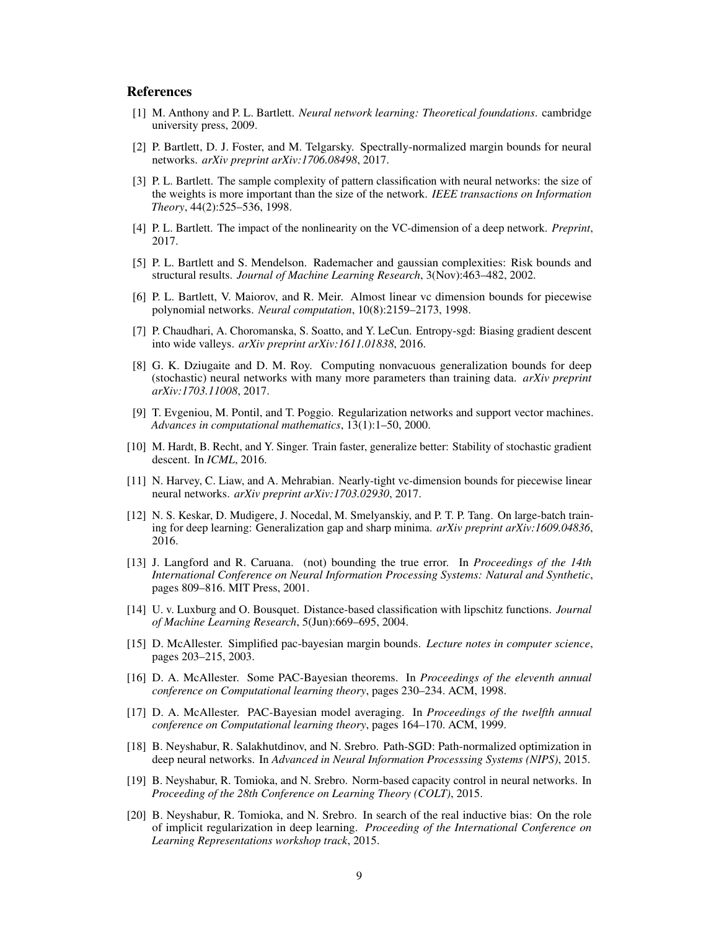## References

- [1] M. Anthony and P. L. Bartlett. *Neural network learning: Theoretical foundations*. cambridge university press, 2009.
- [2] P. Bartlett, D. J. Foster, and M. Telgarsky. Spectrally-normalized margin bounds for neural networks. *arXiv preprint arXiv:1706.08498*, 2017.
- [3] P. L. Bartlett. The sample complexity of pattern classification with neural networks: the size of the weights is more important than the size of the network. *IEEE transactions on Information Theory*, 44(2):525–536, 1998.
- [4] P. L. Bartlett. The impact of the nonlinearity on the VC-dimension of a deep network. *Preprint*, 2017.
- [5] P. L. Bartlett and S. Mendelson. Rademacher and gaussian complexities: Risk bounds and structural results. *Journal of Machine Learning Research*, 3(Nov):463–482, 2002.
- [6] P. L. Bartlett, V. Maiorov, and R. Meir. Almost linear vc dimension bounds for piecewise polynomial networks. *Neural computation*, 10(8):2159–2173, 1998.
- [7] P. Chaudhari, A. Choromanska, S. Soatto, and Y. LeCun. Entropy-sgd: Biasing gradient descent into wide valleys. *arXiv preprint arXiv:1611.01838*, 2016.
- [8] G. K. Dziugaite and D. M. Roy. Computing nonvacuous generalization bounds for deep (stochastic) neural networks with many more parameters than training data. *arXiv preprint arXiv:1703.11008*, 2017.
- [9] T. Evgeniou, M. Pontil, and T. Poggio. Regularization networks and support vector machines. *Advances in computational mathematics*, 13(1):1–50, 2000.
- [10] M. Hardt, B. Recht, and Y. Singer. Train faster, generalize better: Stability of stochastic gradient descent. In *ICML*, 2016.
- [11] N. Harvey, C. Liaw, and A. Mehrabian. Nearly-tight vc-dimension bounds for piecewise linear neural networks. *arXiv preprint arXiv:1703.02930*, 2017.
- [12] N. S. Keskar, D. Mudigere, J. Nocedal, M. Smelyanskiy, and P. T. P. Tang. On large-batch training for deep learning: Generalization gap and sharp minima. *arXiv preprint arXiv:1609.04836*, 2016.
- [13] J. Langford and R. Caruana. (not) bounding the true error. In *Proceedings of the 14th International Conference on Neural Information Processing Systems: Natural and Synthetic*, pages 809–816. MIT Press, 2001.
- [14] U. v. Luxburg and O. Bousquet. Distance-based classification with lipschitz functions. *Journal of Machine Learning Research*, 5(Jun):669–695, 2004.
- [15] D. McAllester. Simplified pac-bayesian margin bounds. *Lecture notes in computer science*, pages 203–215, 2003.
- [16] D. A. McAllester. Some PAC-Bayesian theorems. In *Proceedings of the eleventh annual conference on Computational learning theory*, pages 230–234. ACM, 1998.
- [17] D. A. McAllester. PAC-Bayesian model averaging. In *Proceedings of the twelfth annual conference on Computational learning theory*, pages 164–170. ACM, 1999.
- [18] B. Neyshabur, R. Salakhutdinov, and N. Srebro. Path-SGD: Path-normalized optimization in deep neural networks. In *Advanced in Neural Information Processsing Systems (NIPS)*, 2015.
- [19] B. Neyshabur, R. Tomioka, and N. Srebro. Norm-based capacity control in neural networks. In *Proceeding of the 28th Conference on Learning Theory (COLT)*, 2015.
- [20] B. Neyshabur, R. Tomioka, and N. Srebro. In search of the real inductive bias: On the role of implicit regularization in deep learning. *Proceeding of the International Conference on Learning Representations workshop track*, 2015.